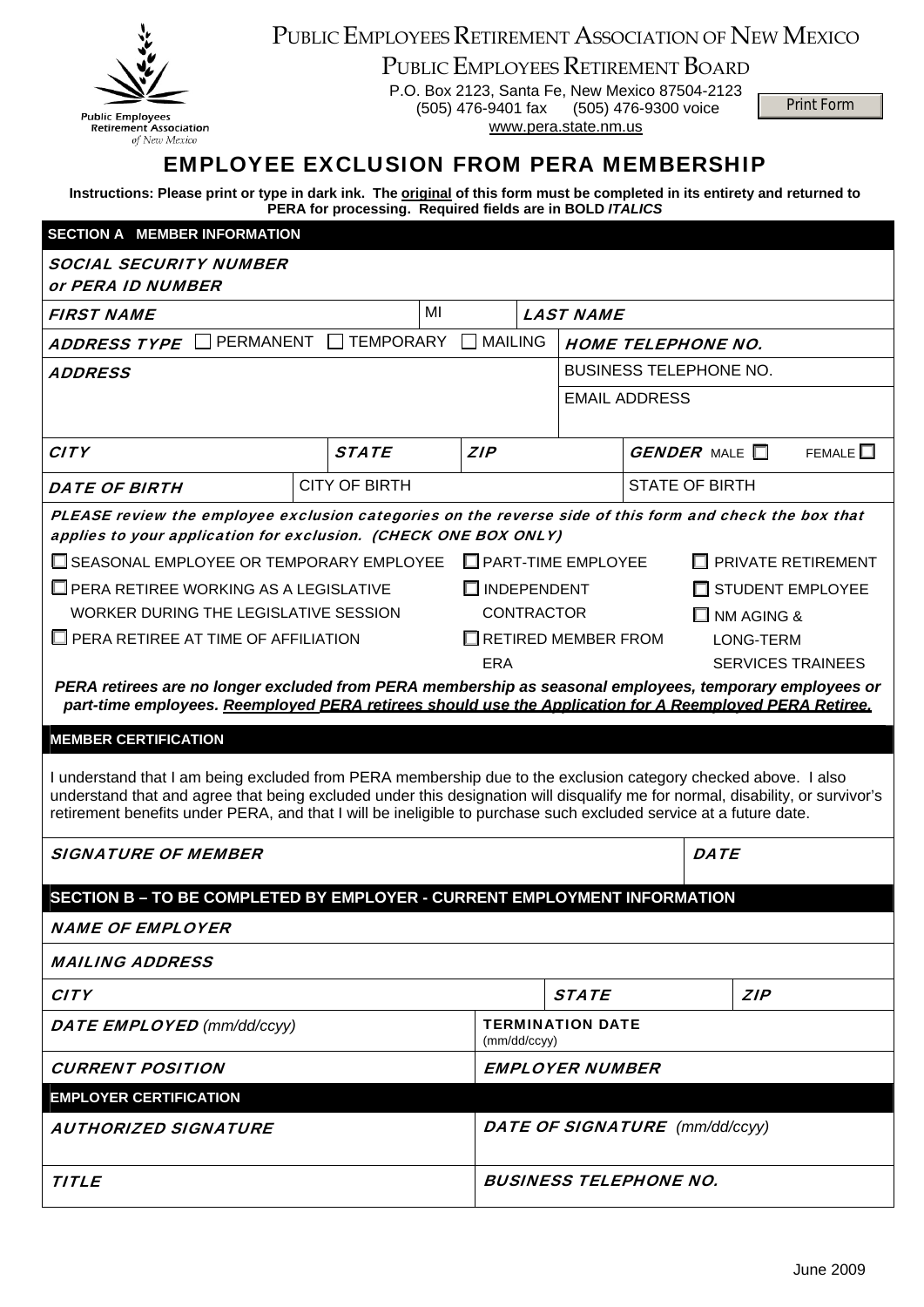

## PUBLIC EMPLOYEES RETIREMENT ASSOCIATION OF NEW MEXICO

PUBLIC EMPLOYEES RETIREMENT BOARD

P.O. Box 2123, Santa Fe, New Mexico 87504-2123 (505) 476-9401 fax (505) 476-9300 voice www.pera.state.nm.us

Print Form

## EMPLOYEE EXCLUSION FROM PERA MEMBERSHIP

**Instructions: Please print or type in dark ink. The original of this form must be completed in its entirety and returned to PERA for processing. Required fields are in BOLD** *ITALICS*

| <b>SECTION A MEMBER INFORMATION</b>                                                                                                                                                                                                                                                                                                                                                                                                                                                                                                                                                                                                                                                                                                                                                                                                                                                                                                                                                                                                                                                                                                                                                                                            |  |                      |    |                                       |                                         |                  |                             |                               |             |                  |  |
|--------------------------------------------------------------------------------------------------------------------------------------------------------------------------------------------------------------------------------------------------------------------------------------------------------------------------------------------------------------------------------------------------------------------------------------------------------------------------------------------------------------------------------------------------------------------------------------------------------------------------------------------------------------------------------------------------------------------------------------------------------------------------------------------------------------------------------------------------------------------------------------------------------------------------------------------------------------------------------------------------------------------------------------------------------------------------------------------------------------------------------------------------------------------------------------------------------------------------------|--|----------------------|----|---------------------------------------|-----------------------------------------|------------------|-----------------------------|-------------------------------|-------------|------------------|--|
| <b>SOCIAL SECURITY NUMBER</b><br>or PERA ID NUMBER                                                                                                                                                                                                                                                                                                                                                                                                                                                                                                                                                                                                                                                                                                                                                                                                                                                                                                                                                                                                                                                                                                                                                                             |  |                      |    |                                       |                                         |                  |                             |                               |             |                  |  |
| <b>FIRST NAME</b>                                                                                                                                                                                                                                                                                                                                                                                                                                                                                                                                                                                                                                                                                                                                                                                                                                                                                                                                                                                                                                                                                                                                                                                                              |  |                      | MI |                                       |                                         | <b>LAST NAME</b> |                             |                               |             |                  |  |
| PERMANENT<br><b>TEMPORARY</b><br><b>ADDRESS TYPE</b>                                                                                                                                                                                                                                                                                                                                                                                                                                                                                                                                                                                                                                                                                                                                                                                                                                                                                                                                                                                                                                                                                                                                                                           |  |                      |    | <b>MAILING</b>                        |                                         |                  | <b>HOME TELEPHONE NO.</b>   |                               |             |                  |  |
| <b>ADDRESS</b>                                                                                                                                                                                                                                                                                                                                                                                                                                                                                                                                                                                                                                                                                                                                                                                                                                                                                                                                                                                                                                                                                                                                                                                                                 |  |                      |    |                                       |                                         |                  |                             | <b>BUSINESS TELEPHONE NO.</b> |             |                  |  |
|                                                                                                                                                                                                                                                                                                                                                                                                                                                                                                                                                                                                                                                                                                                                                                                                                                                                                                                                                                                                                                                                                                                                                                                                                                |  |                      |    |                                       |                                         |                  | <b>EMAIL ADDRESS</b>        |                               |             |                  |  |
| <b>CITY</b>                                                                                                                                                                                                                                                                                                                                                                                                                                                                                                                                                                                                                                                                                                                                                                                                                                                                                                                                                                                                                                                                                                                                                                                                                    |  | <b>STATE</b>         |    | <b>ZIP</b>                            |                                         |                  | <b>GENDER</b> MALE <b>N</b> |                               |             | FEMALE $\square$ |  |
| <b>DATE OF BIRTH</b>                                                                                                                                                                                                                                                                                                                                                                                                                                                                                                                                                                                                                                                                                                                                                                                                                                                                                                                                                                                                                                                                                                                                                                                                           |  | <b>CITY OF BIRTH</b> |    |                                       |                                         |                  | <b>STATE OF BIRTH</b>       |                               |             |                  |  |
| PLEASE review the employee exclusion categories on the reverse side of this form and check the box that<br>applies to your application for exclusion. (CHECK ONE BOX ONLY)<br>□ SEASONAL EMPLOYEE OR TEMPORARY EMPLOYEE<br>$\Box$ PART-TIME EMPLOYEE<br>$\Box$ PRIVATE RETIREMENT<br>$\Box$ PERA RETIREE WORKING AS A LEGISLATIVE<br>$\Box$ INDEPENDENT<br>STUDENT EMPLOYEE<br>WORKER DURING THE LEGISLATIVE SESSION<br><b>CONTRACTOR</b><br>$\Box$ NM AGING &<br>$\Box$ PERA RETIREE AT TIME OF AFFILIATION<br>$\Box$ RETIRED MEMBER FROM<br>LONG-TERM<br><b>ERA</b><br><b>SERVICES TRAINEES</b><br>PERA retirees are no longer excluded from PERA membership as seasonal employees, temporary employees or<br>part-time employees. Reemployed PERA retirees should use the Application for A Reemployed PERA Retiree.<br><b>MEMBER CERTIFICATION</b><br>I understand that I am being excluded from PERA membership due to the exclusion category checked above. I also<br>understand that and agree that being excluded under this designation will disqualify me for normal, disability, or survivor's<br>retirement benefits under PERA, and that I will be ineligible to purchase such excluded service at a future date. |  |                      |    |                                       |                                         |                  |                             |                               |             |                  |  |
| <b>SIGNATURE OF MEMBER</b>                                                                                                                                                                                                                                                                                                                                                                                                                                                                                                                                                                                                                                                                                                                                                                                                                                                                                                                                                                                                                                                                                                                                                                                                     |  |                      |    |                                       |                                         |                  |                             |                               | <b>DATE</b> |                  |  |
| SECTION B - TO BE COMPLETED BY EMPLOYER - CURRENT EMPLOYMENT INFORMATION                                                                                                                                                                                                                                                                                                                                                                                                                                                                                                                                                                                                                                                                                                                                                                                                                                                                                                                                                                                                                                                                                                                                                       |  |                      |    |                                       |                                         |                  |                             |                               |             |                  |  |
| <b>NAME OF EMPLOYER</b>                                                                                                                                                                                                                                                                                                                                                                                                                                                                                                                                                                                                                                                                                                                                                                                                                                                                                                                                                                                                                                                                                                                                                                                                        |  |                      |    |                                       |                                         |                  |                             |                               |             |                  |  |
| <i><b>MAILING ADDRESS</b></i>                                                                                                                                                                                                                                                                                                                                                                                                                                                                                                                                                                                                                                                                                                                                                                                                                                                                                                                                                                                                                                                                                                                                                                                                  |  |                      |    |                                       |                                         |                  |                             |                               |             |                  |  |
| <b>CITY</b>                                                                                                                                                                                                                                                                                                                                                                                                                                                                                                                                                                                                                                                                                                                                                                                                                                                                                                                                                                                                                                                                                                                                                                                                                    |  |                      |    |                                       | <b>STATE</b>                            |                  |                             |                               | <b>ZIP</b>  |                  |  |
| <b>DATE EMPLOYED</b> (mm/dd/ccyy)                                                                                                                                                                                                                                                                                                                                                                                                                                                                                                                                                                                                                                                                                                                                                                                                                                                                                                                                                                                                                                                                                                                                                                                              |  |                      |    |                                       | <b>TERMINATION DATE</b><br>(mm/dd/ccyy) |                  |                             |                               |             |                  |  |
| <b>CURRENT POSITION</b>                                                                                                                                                                                                                                                                                                                                                                                                                                                                                                                                                                                                                                                                                                                                                                                                                                                                                                                                                                                                                                                                                                                                                                                                        |  |                      |    |                                       | <b>EMPLOYER NUMBER</b>                  |                  |                             |                               |             |                  |  |
| <b>EMPLOYER CERTIFICATION</b>                                                                                                                                                                                                                                                                                                                                                                                                                                                                                                                                                                                                                                                                                                                                                                                                                                                                                                                                                                                                                                                                                                                                                                                                  |  |                      |    |                                       |                                         |                  |                             |                               |             |                  |  |
| <i><b>AUTHORIZED SIGNATURE</b></i>                                                                                                                                                                                                                                                                                                                                                                                                                                                                                                                                                                                                                                                                                                                                                                                                                                                                                                                                                                                                                                                                                                                                                                                             |  |                      |    | <b>DATE OF SIGNATURE</b> (mm/dd/ccyy) |                                         |                  |                             |                               |             |                  |  |
| <b>TITLE</b>                                                                                                                                                                                                                                                                                                                                                                                                                                                                                                                                                                                                                                                                                                                                                                                                                                                                                                                                                                                                                                                                                                                                                                                                                   |  |                      |    | <b>BUSINESS TELEPHONE NO.</b>         |                                         |                  |                             |                               |             |                  |  |